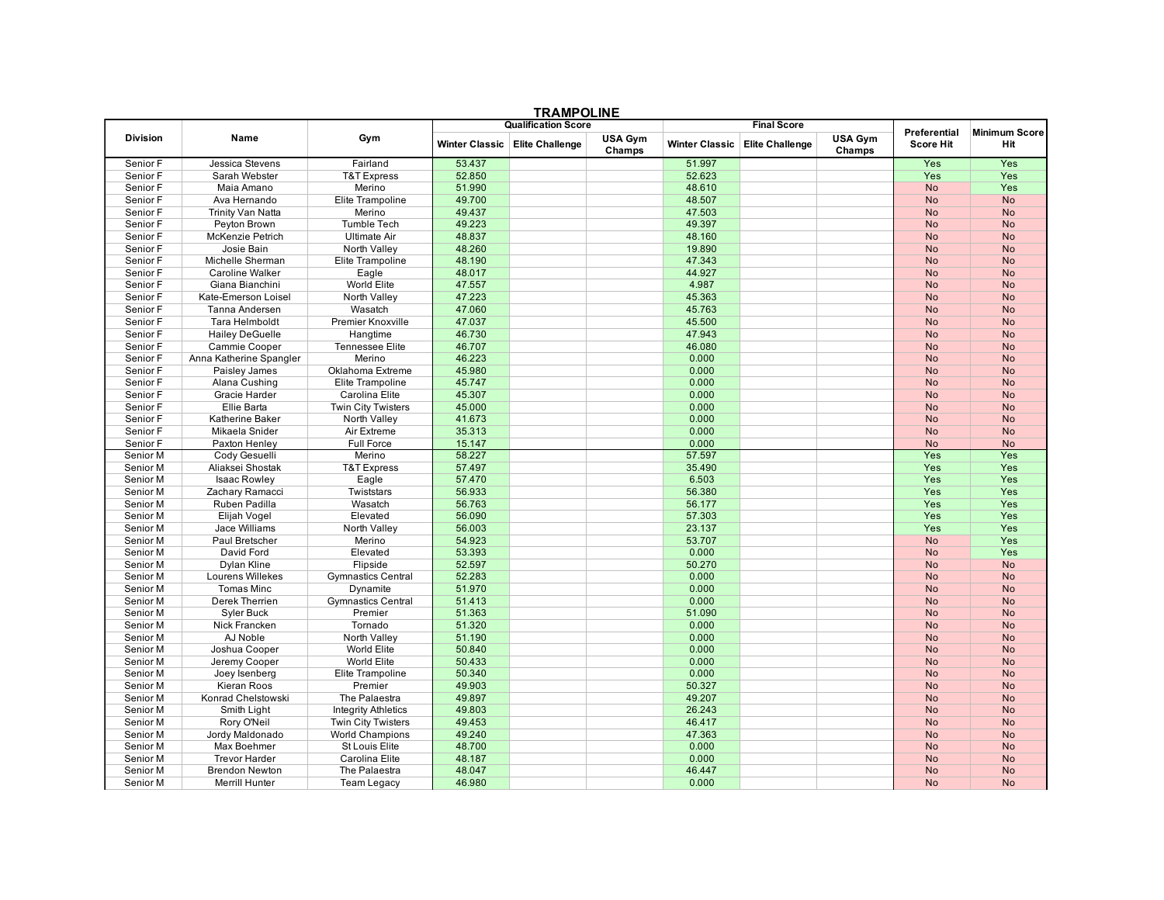|                 |                                 |                            | <b>I RAMPULINE</b><br><b>Qualification Score</b> |                                  |                          |                       | <b>Final Score</b>     |                   |                     |                      |
|-----------------|---------------------------------|----------------------------|--------------------------------------------------|----------------------------------|--------------------------|-----------------------|------------------------|-------------------|---------------------|----------------------|
|                 |                                 | Gym                        |                                                  |                                  |                          |                       |                        |                   | <b>Preferential</b> | <b>Minimum Score</b> |
| <b>Division</b> | Name                            |                            |                                                  | Winter Classic   Elite Challenge | <b>USA Gym</b><br>Champs | <b>Winter Classic</b> | <b>Elite Challenge</b> | USA Gym<br>Champs | <b>Score Hit</b>    | Hit                  |
| Senior F        | Jessica Stevens                 | Fairland                   | 53.437                                           |                                  |                          | 51.997                |                        |                   | Yes                 | Yes                  |
| Senior F        | Sarah Webster                   | <b>T&amp;T Express</b>     | 52.850                                           |                                  |                          | 52.623                |                        |                   | Yes                 | Yes                  |
| Senior F        | Maia Amano                      | Merino                     | 51.990                                           |                                  |                          | 48.610                |                        |                   | <b>No</b>           | Yes                  |
| Senior F        | Ava Hernando                    | Elite Trampoline           | 49.700                                           |                                  |                          | 48.507                |                        |                   | <b>No</b>           | <b>No</b>            |
| Senior F        | Trinity Van Natta               | Merino                     | 49.437                                           |                                  |                          | 47.503                |                        |                   | <b>No</b>           | <b>No</b>            |
| Senior F        | Peyton Brown                    | <b>Tumble Tech</b>         | 49.223                                           |                                  |                          | 49.397                |                        |                   | <b>No</b>           | <b>No</b>            |
| Senior F        | McKenzie Petrich                | <b>Ultimate Air</b>        | 48.837                                           |                                  |                          | 48.160                |                        |                   | <b>No</b>           | <b>No</b>            |
| Senior F        | Josie Bain                      | North Valley               | 48.260                                           |                                  |                          | 19.890                |                        |                   | <b>No</b>           | <b>No</b>            |
| Senior F        | Michelle Sherman                | Elite Trampoline           | 48.190                                           |                                  |                          | 47.343                |                        |                   | <b>No</b>           | <b>No</b>            |
| Senior F        | <b>Caroline Walker</b>          | Eagle                      | 48.017                                           |                                  |                          | 44.927                |                        |                   | <b>No</b>           | <b>No</b>            |
| Senior F        | Giana Bianchini                 | World Elite                | 47.557                                           |                                  |                          | 4.987                 |                        |                   | <b>No</b>           | <b>No</b>            |
| Senior F        | Kate-Emerson Loisel             | North Valley               | 47.223                                           |                                  |                          | 45.363                |                        |                   | <b>No</b>           | <b>No</b>            |
| Senior F        | Tanna Andersen                  | Wasatch                    | 47.060                                           |                                  |                          | 45.763                |                        |                   | <b>No</b>           | <b>No</b>            |
| Senior F        | Tara Helmboldt                  | Premier Knoxville          | 47.037                                           |                                  |                          | 45.500                |                        |                   | <b>No</b>           | <b>No</b>            |
| Senior F        | <b>Hailey DeGuelle</b>          | Hangtime                   | 46.730                                           |                                  |                          | 47.943                |                        |                   | <b>No</b>           | <b>No</b>            |
| Senior F        | Cammie Cooper                   | <b>Tennessee Elite</b>     | 46.707                                           |                                  |                          | 46.080                |                        |                   | <b>No</b>           | <b>No</b>            |
| Senior F        | Anna Katherine Spangler         | Merino                     | 46.223                                           |                                  |                          | 0.000                 |                        |                   | <b>No</b>           | <b>No</b>            |
| Senior F        | Paisley James                   | Oklahoma Extreme           | 45.980                                           |                                  |                          | 0.000                 |                        |                   | <b>No</b>           | <b>No</b>            |
| Senior F        | Alana Cushing                   | Elite Trampoline           | 45.747                                           |                                  |                          | 0.000                 |                        |                   | <b>No</b>           | <b>No</b>            |
| Senior F        | Gracie Harder                   | Carolina Elite             | 45.307                                           |                                  |                          | 0.000                 |                        |                   | <b>No</b>           | <b>No</b>            |
| Senior F        | Ellie Barta                     | <b>Twin City Twisters</b>  | 45.000                                           |                                  |                          | 0.000                 |                        |                   | <b>No</b>           | <b>No</b>            |
| Senior F        | Katherine Baker                 | North Valley               | 41.673                                           |                                  |                          | 0.000                 |                        |                   | <b>No</b>           | <b>No</b>            |
| Senior F        | Mikaela Snider                  | Air Extreme                | 35.313                                           |                                  |                          | 0.000                 |                        |                   | <b>No</b>           | <b>No</b>            |
| Senior F        | Paxton Henley                   | <b>Full Force</b>          | 15.147                                           |                                  |                          | 0.000                 |                        |                   | <b>No</b>           | <b>No</b>            |
| Senior M        | Cody Gesuelli                   | Merino                     | 58.227                                           |                                  |                          | 57.597                |                        |                   | Yes                 | Yes                  |
| Senior M        | Aliaksei Shostak                | <b>T&amp;T Express</b>     | 57.497                                           |                                  |                          | 35.490                |                        |                   | Yes                 | Yes                  |
| Senior M        |                                 |                            | 57.470                                           |                                  |                          | 6.503                 |                        |                   | Yes                 | Yes                  |
| Senior M        | Isaac Rowley<br>Zachary Ramacci | Eagle<br>Twiststars        | 56.933                                           |                                  |                          | 56.380                |                        |                   | Yes                 | Yes                  |
|                 |                                 |                            |                                                  |                                  |                          | 56.177                |                        |                   |                     | Yes                  |
| Senior M        | Ruben Padilla                   | Wasatch                    | 56.763                                           |                                  |                          |                       |                        |                   | Yes                 | Yes                  |
| Senior M        | Elijah Vogel                    | Elevated                   | 56.090                                           |                                  |                          | 57.303                |                        |                   | <b>Yes</b>          |                      |
| Senior M        | <b>Jace Williams</b>            | North Valley               | 56.003                                           |                                  |                          | 23.137                |                        |                   | Yes                 | Yes                  |
| Senior M        | Paul Bretscher                  | Merino                     | 54.923                                           |                                  |                          | 53.707                |                        |                   | <b>No</b>           | Yes                  |
| Senior M        | David Ford                      | Elevated                   | 53.393                                           |                                  |                          | 0.000                 |                        |                   | <b>No</b>           | Yes                  |
| Senior M        | <b>Dylan Kline</b>              | Flipside                   | 52.597                                           |                                  |                          | 50.270                |                        |                   | <b>No</b>           | <b>No</b>            |
| Senior M        | <b>Lourens Willekes</b>         | <b>Gymnastics Central</b>  | 52.283                                           |                                  |                          | 0.000                 |                        |                   | <b>No</b>           | <b>No</b>            |
| Senior M        | <b>Tomas Minc</b>               | Dynamite                   | 51.970                                           |                                  |                          | 0.000                 |                        |                   | <b>No</b>           | <b>No</b>            |
| Senior M        | Derek Therrien                  | <b>Gymnastics Central</b>  | 51.413                                           |                                  |                          | 0.000                 |                        |                   | <b>No</b>           | <b>No</b>            |
| Senior M        | Syler Buck                      | Premier                    | 51.363                                           |                                  |                          | 51.090                |                        |                   | <b>No</b>           | <b>No</b>            |
| Senior M        | Nick Francken                   | Tornado                    | 51.320                                           |                                  |                          | 0.000                 |                        |                   | <b>No</b>           | <b>No</b>            |
| Senior M        | AJ Noble                        | North Valley               | 51.190                                           |                                  |                          | 0.000                 |                        |                   | <b>No</b>           | <b>No</b>            |
| Senior M        | Joshua Cooper                   | World Elite                | 50.840                                           |                                  |                          | 0.000                 |                        |                   | <b>No</b>           | <b>No</b>            |
| Senior M        | Jeremy Cooper                   | World Elite                | 50.433                                           |                                  |                          | 0.000                 |                        |                   | <b>No</b>           | <b>No</b>            |
| Senior M        | Joey Isenberg                   | Elite Trampoline           | 50.340                                           |                                  |                          | 0.000                 |                        |                   | <b>No</b>           | <b>No</b>            |
| Senior M        | Kieran Roos                     | Premier                    | 49.903                                           |                                  |                          | 50.327                |                        |                   | <b>No</b>           | <b>No</b>            |
| Senior M        | Konrad Chelstowski              | The Palaestra              | 49.897                                           |                                  |                          | 49.207                |                        |                   | <b>No</b>           | <b>No</b>            |
| Senior M        | Smith Light                     | <b>Integrity Athletics</b> | 49.803                                           |                                  |                          | 26.243                |                        |                   | <b>No</b>           | <b>No</b>            |
| Senior M        | Rory O'Neil                     | <b>Twin City Twisters</b>  | 49.453                                           |                                  |                          | 46.417                |                        |                   | <b>No</b>           | <b>No</b>            |
| Senior M        | Jordy Maldonado                 | <b>World Champions</b>     | 49.240                                           |                                  |                          | 47.363                |                        |                   | <b>No</b>           | <b>No</b>            |
| Senior M        | Max Boehmer                     | <b>St Louis Elite</b>      | 48.700                                           |                                  |                          | 0.000                 |                        |                   | <b>No</b>           | <b>No</b>            |
| Senior M        | <b>Trevor Harder</b>            | Carolina Elite             | 48.187                                           |                                  |                          | 0.000                 |                        |                   | <b>No</b>           | <b>No</b>            |
| Senior M        | <b>Brendon Newton</b>           | The Palaestra              | 48.047                                           |                                  |                          | 46.447                |                        |                   | <b>No</b>           | <b>No</b>            |
| Senior M        | Merrill Hunter                  | <b>Team Legacy</b>         | 46.980                                           |                                  |                          | 0.000                 |                        |                   | <b>No</b>           | <b>No</b>            |

## **TRAMPOLINE**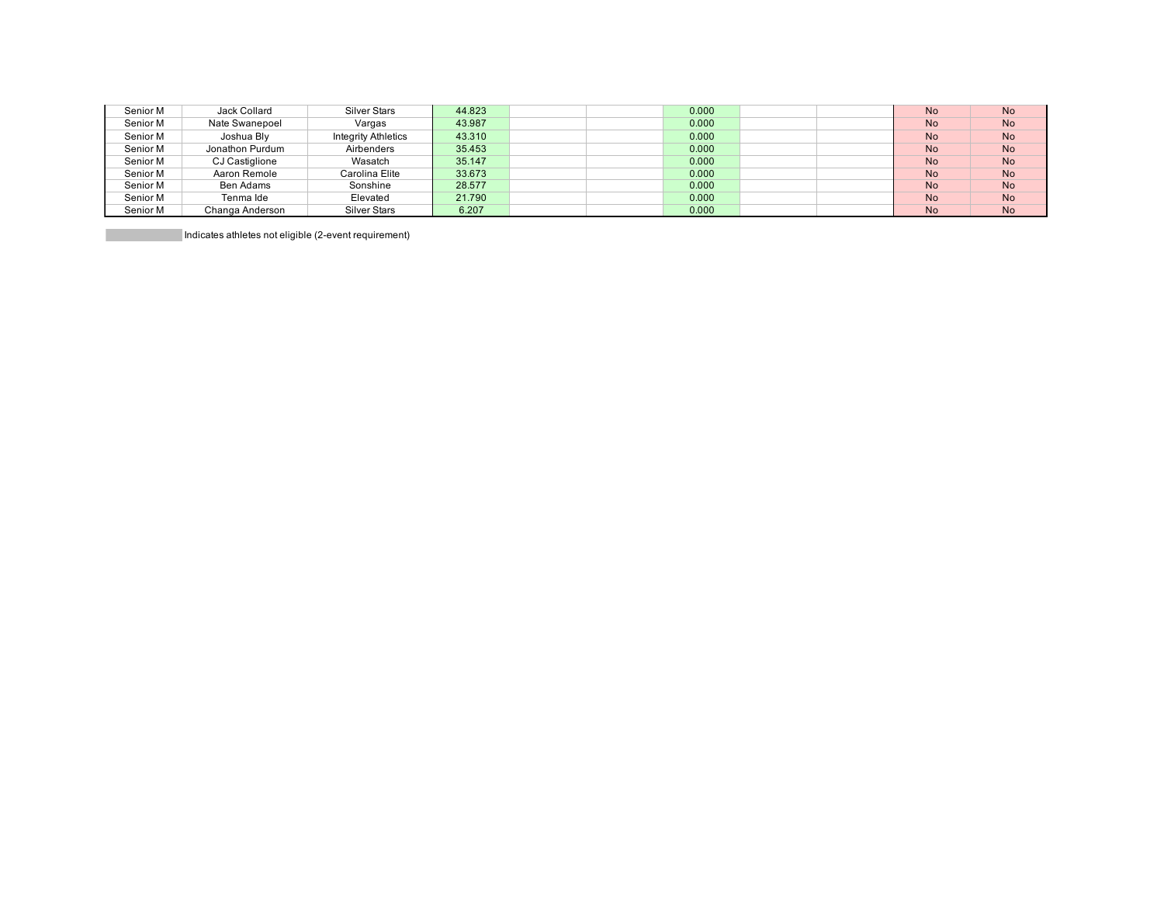| Senior M | Jack Collard    | <b>Silver Stars</b>        | 44.823 | 0.000 | <b>No</b> | <b>No</b> |
|----------|-----------------|----------------------------|--------|-------|-----------|-----------|
| Senior M | Nate Swanepoel  | Vargas                     | 43.987 | 0.000 | <b>No</b> | <b>No</b> |
| Senior M | Joshua Bly      | <b>Integrity Athletics</b> | 43.310 | 0.000 | <b>No</b> | <b>No</b> |
| Senior M | Jonathon Purdum | Airbenders                 | 35.453 | 0.000 | <b>No</b> | <b>No</b> |
| Senior M | CJ Castiglione  | Wasatch                    | 35.147 | 0.000 | <b>No</b> | <b>No</b> |
| Senior M | Aaron Remole    | Carolina Elite             | 33.673 | 0.000 | <b>No</b> | <b>No</b> |
| Senior M | Ben Adams       | Sonshine                   | 28.577 | 0.000 | <b>No</b> | <b>No</b> |
| Senior M | Tenma Ide       | Elevated                   | 21.790 | 0.000 | <b>No</b> | <b>No</b> |
| Senior M | Changa Anderson | Silver Stars               | 6.207  | 0.000 | <b>No</b> | <b>No</b> |

Indicates athletes not eligible (2-event requirement)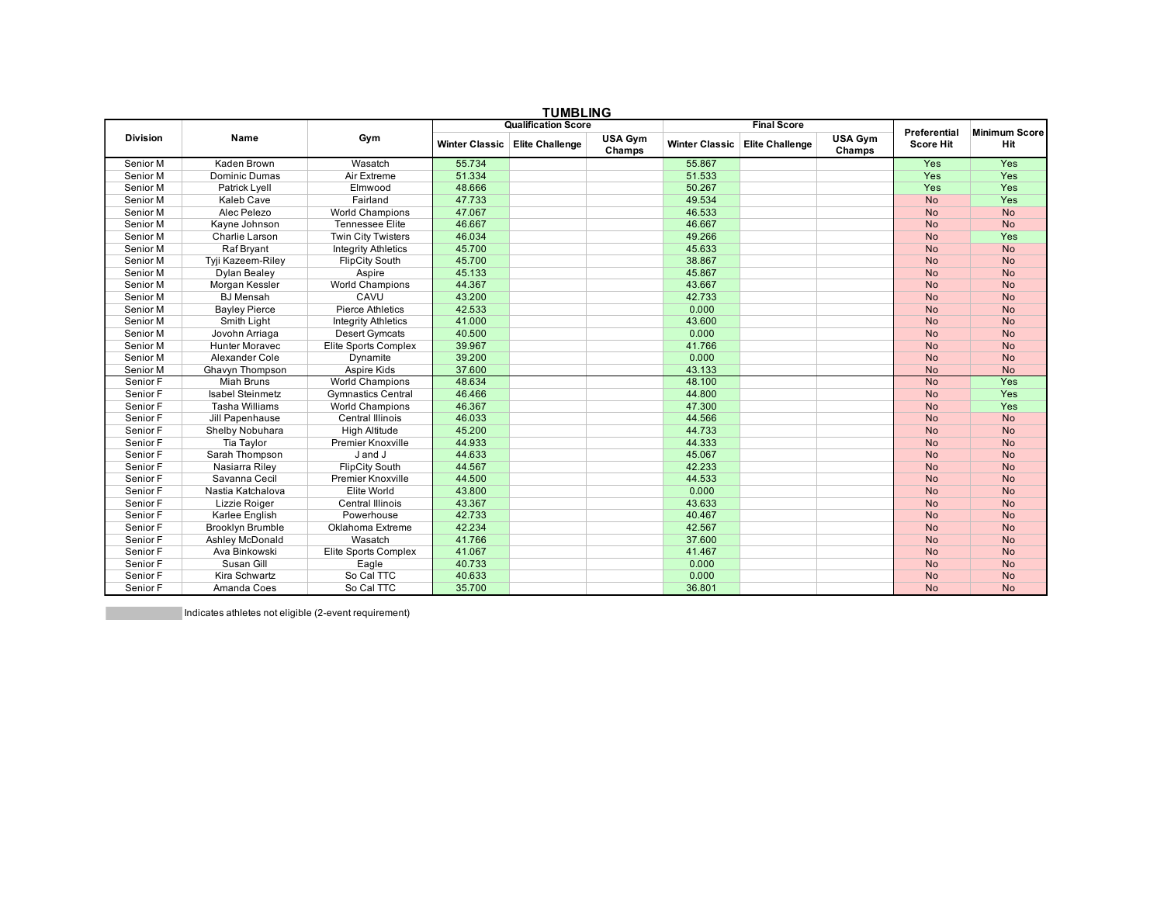| <b>TUMBLING</b> |                         |                            |                            |                        |                          |                       |                        |                          |                      |           |
|-----------------|-------------------------|----------------------------|----------------------------|------------------------|--------------------------|-----------------------|------------------------|--------------------------|----------------------|-----------|
|                 |                         |                            | <b>Qualification Score</b> |                        | <b>Final Score</b>       |                       |                        | Preferential             | <b>Minimum Score</b> |           |
| <b>Division</b> | Name                    | Gym                        | <b>Winter Classic</b>      | <b>Elite Challenge</b> | <b>USA Gym</b><br>Champs | <b>Winter Classic</b> | <b>Elite Challenge</b> | <b>USA Gym</b><br>Champs | <b>Score Hit</b>     | Hit       |
| Senior M        | Kaden Brown             | Wasatch                    | 55.734                     |                        |                          | 55.867                |                        |                          | Yes                  | Yes       |
| Senior M        | Dominic Dumas           | Air Extreme                | 51.334                     |                        |                          | 51.533                |                        |                          | Yes                  | Yes       |
| Senior M        | Patrick Lyell           | Elmwood                    | 48.666                     |                        |                          | 50.267                |                        |                          | Yes                  | Yes       |
| Senior M        | Kaleb Cave              | Fairland                   | 47.733                     |                        |                          | 49.534                |                        |                          | <b>No</b>            | Yes       |
| Senior M        | Alec Pelezo             | <b>World Champions</b>     | 47.067                     |                        |                          | 46.533                |                        |                          | <b>No</b>            | <b>No</b> |
| Senior M        | Kayne Johnson           | <b>Tennessee Elite</b>     | 46.667                     |                        |                          | 46.667                |                        |                          | <b>No</b>            | <b>No</b> |
| Senior M        | Charlie Larson          | <b>Twin City Twisters</b>  | 46.034                     |                        |                          | 49.266                |                        |                          | <b>No</b>            | Yes       |
| Senior M        | Raf Bryant              | <b>Integrity Athletics</b> | 45.700                     |                        |                          | 45.633                |                        |                          | <b>No</b>            | <b>No</b> |
| Senior M        | Tyji Kazeem-Riley       | <b>FlipCity South</b>      | 45.700                     |                        |                          | 38.867                |                        |                          | <b>No</b>            | <b>No</b> |
| Senior M        | Dylan Bealey            | Aspire                     | 45.133                     |                        |                          | 45.867                |                        |                          | <b>No</b>            | <b>No</b> |
| Senior M        | Morgan Kessler          | <b>World Champions</b>     | 44.367                     |                        |                          | 43.667                |                        |                          | <b>No</b>            | <b>No</b> |
| Senior M        | <b>BJ</b> Mensah        | CAVU                       | 43.200                     |                        |                          | 42.733                |                        |                          | <b>No</b>            | <b>No</b> |
| Senior M        | <b>Bayley Pierce</b>    | Pierce Athletics           | 42.533                     |                        |                          | 0.000                 |                        |                          | <b>No</b>            | <b>No</b> |
| Senior M        | Smith Light             | <b>Integrity Athletics</b> | 41.000                     |                        |                          | 43.600                |                        |                          | <b>No</b>            | <b>No</b> |
| Senior M        | Jovohn Arriaga          | <b>Desert Gymcats</b>      | 40.500                     |                        |                          | 0.000                 |                        |                          | <b>No</b>            | <b>No</b> |
| Senior M        | <b>Hunter Moravec</b>   | Elite Sports Complex       | 39.967                     |                        |                          | 41.766                |                        |                          | <b>No</b>            | <b>No</b> |
| Senior M        | Alexander Cole          | Dynamite                   | 39.200                     |                        |                          | 0.000                 |                        |                          | <b>No</b>            | <b>No</b> |
| Senior M        | Ghavyn Thompson         | Aspire Kids                | 37.600                     |                        |                          | 43.133                |                        |                          | <b>No</b>            | <b>No</b> |
| Senior F        | <b>Miah Bruns</b>       | <b>World Champions</b>     | 48.634                     |                        |                          | 48.100                |                        |                          | <b>No</b>            | Yes       |
| Senior F        | <b>Isabel Steinmetz</b> | <b>Gymnastics Central</b>  | 46.466                     |                        |                          | 44.800                |                        |                          | <b>No</b>            | Yes       |
| Senior F        | <b>Tasha Williams</b>   | <b>World Champions</b>     | 46.367                     |                        |                          | 47.300                |                        |                          | <b>No</b>            | Yes       |
| Senior F        | Jill Papenhause         | Central Illinois           | 46.033                     |                        |                          | 44.566                |                        |                          | <b>No</b>            | <b>No</b> |
| Senior F        | Shelby Nobuhara         | <b>High Altitude</b>       | 45.200                     |                        |                          | 44.733                |                        |                          | <b>No</b>            | <b>No</b> |
| Senior F        | Tia Taylor              | <b>Premier Knoxville</b>   | 44.933                     |                        |                          | 44.333                |                        |                          | <b>No</b>            | <b>No</b> |
| Senior F        | Sarah Thompson          | J and J                    | 44.633                     |                        |                          | 45.067                |                        |                          | <b>No</b>            | <b>No</b> |
| Senior F        | Nasiarra Riley          | <b>FlipCity South</b>      | 44.567                     |                        |                          | 42.233                |                        |                          | <b>No</b>            | <b>No</b> |
| Senior F        | Savanna Cecil           | <b>Premier Knoxville</b>   | 44.500                     |                        |                          | 44.533                |                        |                          | <b>No</b>            | <b>No</b> |
| Senior F        | Nastia Katchalova       | Elite World                | 43.800                     |                        |                          | 0.000                 |                        |                          | <b>No</b>            | <b>No</b> |
| Senior F        | Lizzie Roiger           | <b>Central Illinois</b>    | 43.367                     |                        |                          | 43.633                |                        |                          | <b>No</b>            | <b>No</b> |
| Senior F        | Karlee English          | Powerhouse                 | 42.733                     |                        |                          | 40.467                |                        |                          | <b>No</b>            | <b>No</b> |
| Senior F        | <b>Brooklyn Brumble</b> | Oklahoma Extreme           | 42.234                     |                        |                          | 42.567                |                        |                          | <b>No</b>            | <b>No</b> |
| Senior F        | Ashley McDonald         | Wasatch                    | 41.766                     |                        |                          | 37.600                |                        |                          | <b>No</b>            | <b>No</b> |
| Senior F        | Ava Binkowski           | Elite Sports Complex       | 41.067                     |                        |                          | 41.467                |                        |                          | <b>No</b>            | <b>No</b> |
| Senior F        | Susan Gill              | Eagle                      | 40.733                     |                        |                          | 0.000                 |                        |                          | <b>No</b>            | <b>No</b> |
| Senior F        | Kira Schwartz           | So Cal TTC                 | 40.633                     |                        |                          | 0.000                 |                        |                          | <b>No</b>            | <b>No</b> |
| Senior F        | Amanda Coes             | So Cal TTC                 | 35.700                     |                        |                          | 36.801                |                        |                          | <b>No</b>            | <b>No</b> |

Indicates athletes not eligible (2-event requirement)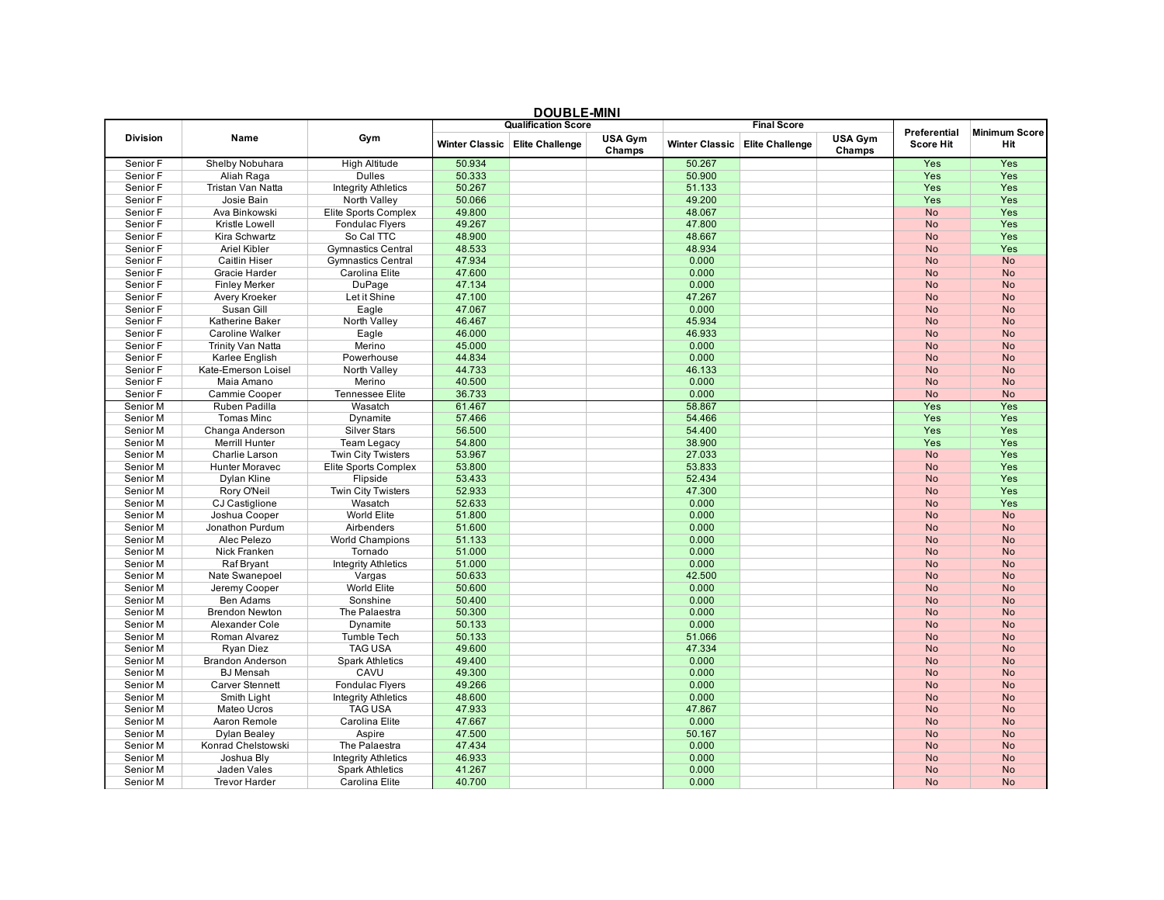|                      |                          |                            | <b>DOUBLE-MINI</b><br><b>Qualification Score</b> |                                  |                          |                       | <b>Final Score</b>     |                   |                        |                        |
|----------------------|--------------------------|----------------------------|--------------------------------------------------|----------------------------------|--------------------------|-----------------------|------------------------|-------------------|------------------------|------------------------|
|                      |                          |                            |                                                  |                                  |                          |                       |                        |                   | <b>Preferential</b>    | <b>Minimum Score</b>   |
| <b>Division</b>      | Name                     | Gym                        |                                                  | Winter Classic   Elite Challenge | <b>USA Gym</b><br>Champs | <b>Winter Classic</b> | <b>Elite Challenge</b> | USA Gym<br>Champs | <b>Score Hit</b>       | Hit                    |
| Senior F             | Shelby Nobuhara          | <b>High Altitude</b>       | 50.934                                           |                                  |                          | 50.267                |                        |                   | Yes                    | Yes                    |
| Senior F             | Aliah Raga               | <b>Dulles</b>              | 50.333                                           |                                  |                          | 50.900                |                        |                   | Yes                    | Yes                    |
| Senior F             | Tristan Van Natta        | <b>Integrity Athletics</b> | 50.267                                           |                                  |                          | 51.133                |                        |                   | Yes                    | Yes                    |
| Senior F             | Josie Bain               | North Valley               | 50.066                                           |                                  |                          | 49.200                |                        |                   | <b>Yes</b>             | Yes                    |
| Senior F             | Ava Binkowski            | Elite Sports Complex       | 49.800                                           |                                  |                          | 48.067                |                        |                   | <b>No</b>              | Yes                    |
| Senior F             | Kristle Lowell           | <b>Fondulac Flyers</b>     | 49.267                                           |                                  |                          | 47.800                |                        |                   | <b>No</b>              | Yes                    |
| Senior F             | Kira Schwartz            | So Cal TTC                 | 48.900                                           |                                  |                          | 48.667                |                        |                   | <b>No</b>              | Yes                    |
| Senior F             | <b>Ariel Kibler</b>      | <b>Gymnastics Central</b>  | 48.533                                           |                                  |                          | 48.934                |                        |                   | <b>No</b>              | Yes                    |
| Senior F             | <b>Caitlin Hiser</b>     | <b>Gymnastics Central</b>  | 47.934                                           |                                  |                          | 0.000                 |                        |                   | <b>No</b>              | <b>No</b>              |
| Senior F             | Gracie Harder            | Carolina Elite             | 47.600                                           |                                  |                          | 0.000                 |                        |                   | <b>No</b>              | <b>No</b>              |
| Senior F             | <b>Finley Merker</b>     | DuPage                     | 47.134                                           |                                  |                          | 0.000                 |                        |                   | <b>No</b>              | <b>No</b>              |
| Senior F             | Avery Kroeker            | Let it Shine               | 47.100                                           |                                  |                          | 47.267                |                        |                   | <b>No</b>              | <b>No</b>              |
| Senior F             | Susan Gill               | Eagle                      | 47.067                                           |                                  |                          | 0.000                 |                        |                   | <b>No</b>              | <b>No</b>              |
| Senior F             | Katherine Baker          | North Valley               | 46.467                                           |                                  |                          | 45.934                |                        |                   | <b>No</b>              | <b>No</b>              |
| Senior F             | <b>Caroline Walker</b>   | Eagle                      | 46.000                                           |                                  |                          | 46.933                |                        |                   | <b>No</b>              | <b>No</b>              |
| Senior F             | <b>Trinity Van Natta</b> | Merino                     | 45.000                                           |                                  |                          | 0.000                 |                        |                   | <b>No</b>              | <b>No</b>              |
| Senior F             | Karlee English           | Powerhouse                 | 44.834                                           |                                  |                          | 0.000                 |                        |                   | <b>No</b>              | <b>No</b>              |
| Senior F             | Kate-Emerson Loisel      | North Valley               | 44.733                                           |                                  |                          | 46.133                |                        |                   | <b>No</b>              | <b>No</b>              |
| Senior F             | Maia Amano               | Merino                     | 40.500                                           |                                  |                          | 0.000                 |                        |                   | <b>No</b>              | <b>No</b>              |
| Senior F             | Cammie Cooper            | <b>Tennessee Elite</b>     | 36.733                                           |                                  |                          | 0.000                 |                        |                   | <b>No</b>              | <b>No</b>              |
| Senior M             | Ruben Padilla            | Wasatch                    | 61.467                                           |                                  |                          | 58.867                |                        |                   | Yes                    | Yes                    |
| Senior M             | Tomas Minc               | Dynamite                   | 57.466                                           |                                  |                          | 54.466                |                        |                   | Yes                    | Yes                    |
| Senior M             | Changa Anderson          | <b>Silver Stars</b>        | 56.500                                           |                                  |                          | 54.400                |                        |                   | Yes                    | Yes                    |
| Senior M             | <b>Merrill Hunter</b>    | <b>Team Legacy</b>         | 54.800                                           |                                  |                          | 38.900                |                        |                   | Yes                    | Yes                    |
| Senior M             | Charlie Larson           | <b>Twin City Twisters</b>  | 53.967                                           |                                  |                          | 27.033                |                        |                   | <b>No</b>              | Yes                    |
| Senior M             | <b>Hunter Moravec</b>    | Elite Sports Complex       | 53.800                                           |                                  |                          | 53.833                |                        |                   | <b>No</b>              | Yes                    |
| Senior M             | Dylan Kline              | Flipside                   | 53.433                                           |                                  |                          | 52.434                |                        |                   | <b>No</b>              | Yes                    |
| Senior M             | Rory O'Neil              | <b>Twin City Twisters</b>  | 52.933                                           |                                  |                          | 47.300                |                        |                   | <b>No</b>              | Yes                    |
| Senior M             | CJ Castiglione           | Wasatch                    | 52.633                                           |                                  |                          | 0.000                 |                        |                   | <b>No</b>              | Yes                    |
| Senior M             | Joshua Cooper            | World Elite                | 51.800                                           |                                  |                          | 0.000                 |                        |                   | <b>No</b>              | <b>No</b>              |
| Senior M             | Jonathon Purdum          | Airbenders                 | 51.600                                           |                                  |                          | 0.000                 |                        |                   | <b>No</b>              | <b>No</b>              |
| Senior M             | Alec Pelezo              | <b>World Champions</b>     | 51.133                                           |                                  |                          | 0.000                 |                        |                   | <b>No</b>              | <b>No</b>              |
| Senior M             | Nick Franken             | Tornado                    | 51.000                                           |                                  |                          | 0.000                 |                        |                   | <b>No</b>              | <b>No</b>              |
| Senior M             | Raf Bryant               | <b>Integrity Athletics</b> | 51.000                                           |                                  |                          | 0.000                 |                        |                   | <b>No</b>              | <b>No</b>              |
| Senior M             | Nate Swanepoel           | Vargas                     | 50.633                                           |                                  |                          | 42.500                |                        |                   | <b>No</b>              | <b>No</b>              |
| Senior M             | Jeremy Cooper            | World Elite                | 50.600                                           |                                  |                          | 0.000                 |                        |                   | <b>No</b>              | <b>No</b>              |
| Senior M             | Ben Adams                | Sonshine                   | 50.400                                           |                                  |                          | 0.000                 |                        |                   | <b>No</b>              | <b>No</b>              |
| Senior M             | <b>Brendon Newton</b>    | The Palaestra              | 50.300                                           |                                  |                          | 0.000                 |                        |                   | <b>No</b>              | <b>No</b>              |
| Senior M             | Alexander Cole           | Dynamite                   | 50.133                                           |                                  |                          | 0.000                 |                        |                   | <b>No</b>              | <b>No</b>              |
| Senior M             | Roman Alvarez            | <b>Tumble Tech</b>         | 50.133                                           |                                  |                          | 51.066                |                        |                   | <b>No</b>              | <b>No</b>              |
| Senior M             | Ryan Diez                | <b>TAG USA</b>             | 49.600                                           |                                  |                          | 47.334                |                        |                   | <b>No</b>              | <b>No</b>              |
| Senior M             | <b>Brandon Anderson</b>  | <b>Spark Athletics</b>     | 49.400                                           |                                  |                          | 0.000                 |                        |                   | <b>No</b>              | <b>No</b>              |
| Senior M             | <b>BJ</b> Mensah         | CAVU                       | 49.300                                           |                                  |                          | 0.000                 |                        |                   | <b>No</b>              | <b>No</b>              |
| Senior M             | <b>Carver Stennett</b>   | <b>Fondulac Flyers</b>     | 49.266                                           |                                  |                          | 0.000                 |                        |                   | <b>No</b>              | <b>No</b>              |
| Senior M             | Smith Light              | <b>Integrity Athletics</b> | 48.600                                           |                                  |                          | 0.000                 |                        |                   | <b>No</b>              | <b>No</b>              |
| Senior M             | Mateo Ucros              | <b>TAG USA</b>             | 47.933                                           |                                  |                          | 47.867                |                        |                   | <b>No</b>              | <b>No</b>              |
| Senior M             | Aaron Remole             | Carolina Elite             | 47.667                                           |                                  |                          | 0.000                 |                        |                   | <b>No</b>              | <b>No</b>              |
| Senior M             |                          | Aspire                     | 47.500                                           |                                  |                          | 50.167                |                        |                   | <b>No</b>              | <b>No</b>              |
|                      | Dylan Bealey             |                            |                                                  |                                  |                          |                       |                        |                   |                        |                        |
| Senior M<br>Senior M | Konrad Chelstowski       | The Palaestra              | 47.434<br>46.933                                 |                                  |                          | 0.000<br>0.000        |                        |                   | <b>No</b><br><b>No</b> | <b>No</b><br><b>No</b> |
|                      | Joshua Bly               | <b>Integrity Athletics</b> |                                                  |                                  |                          | 0.000                 |                        |                   |                        |                        |
| Senior M             | Jaden Vales              | <b>Spark Athletics</b>     | 41.267                                           |                                  |                          |                       |                        |                   | <b>No</b>              | <b>No</b>              |
| Senior M             | <b>Trevor Harder</b>     | Carolina Elite             | 40.700                                           |                                  |                          | 0.000                 |                        |                   | <b>No</b>              | <b>No</b>              |

## **DOUBLE-MINI**